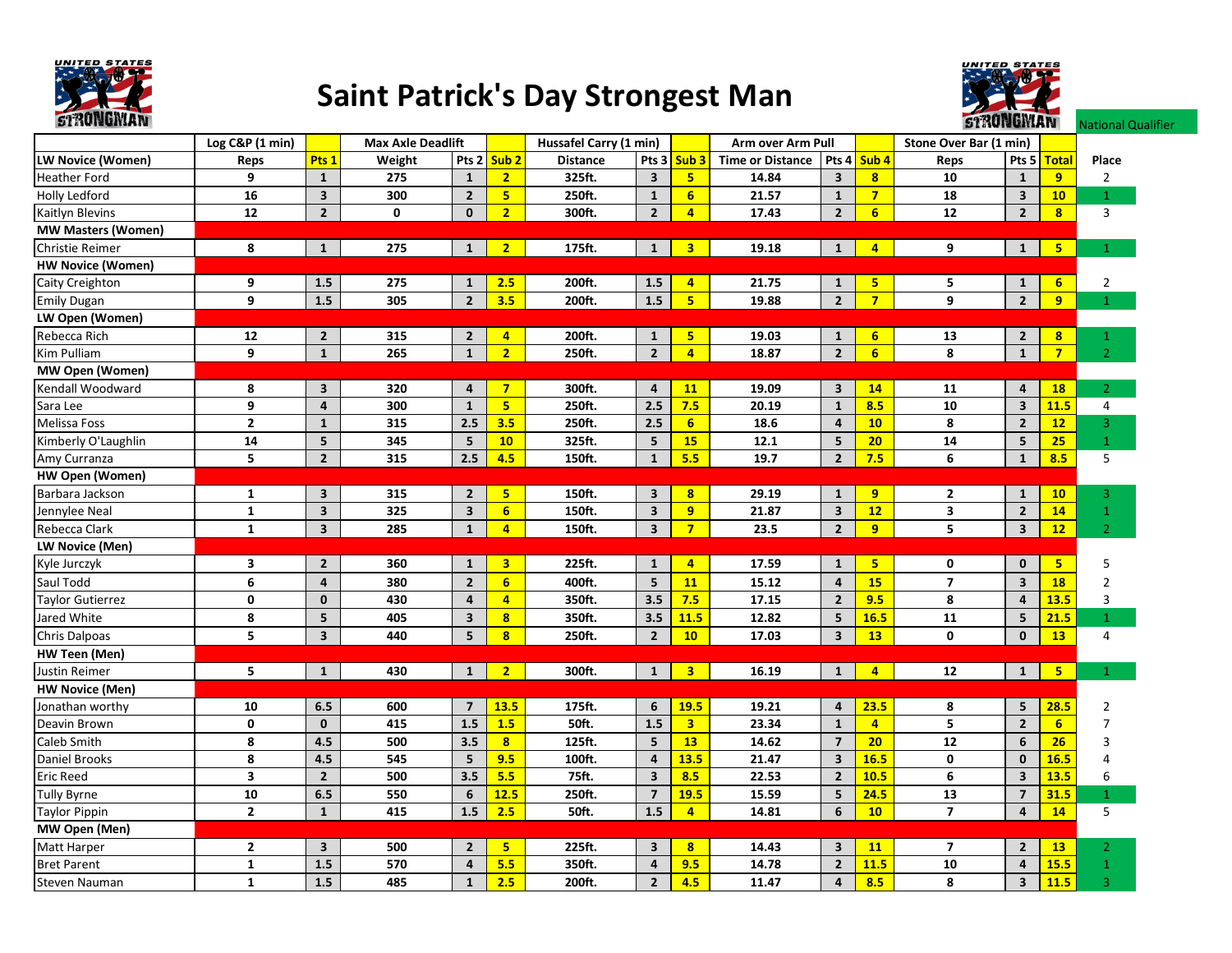

## Saint Patrick's Day Strongest Man



National Qualifier

Log C&P (1 min)LW Novice (Women) Reps <mark>Pts 1</mark> Weight Pts 2 <mark>Sub 2</mark> Distance Pts 3 <mark>Sub 3</mark> Time or Distance Pts 4 <mark>Sub 4</mark> Reps Pts 5 <mark>Total</mark> Place Heather Fordd 9 1 275 1 <mark> 2 </mark> 325ft. 3 <mark>\_\_5 14.84 3 8 10 1 9 </mark> 2 Holly Ledfordd 16 3 300 2 5 250ft. 1 6 21.57 1 7 18 3 <mark>10</mark> 1 Kaitlyn Blevins<u>5 12 20 00<mark>2</mark> 300ft.</u> 24 17.43 26 12 28  $\begin{array}{|c|c|c|c|c|}\n\hline\n\mathbf{8} & \mathbf{3} \\
\hline\n\end{array}$ MW Masters (Women)Christie Reimer<u>r | 8 | 1 | 275 | 1 | 2 | 175ft. | 1 | 3 | 19.18 | 1 | 4 | 9 | 1 | 5</u>  $\overline{5}$  1 HW Novice (Women)Caity Creighton<u>n | 9 | 1.5 | 275 | 1 | <mark>2.5</mark> 200ft. | 1.5 | 4 | 21.75 | 1 | 5 | 5 | 1 | 6 |</u> 2 Emily Dugan <sup>9</sup> 1.5 <sup>305</sup> <sup>2</sup> 3.5 200ft. 1.5 <sup>5</sup> 19.88 <sup>2</sup> <sup>7</sup> <sup>9</sup> <sup>2</sup> <sup>9</sup> <sup>1</sup> LW Open (Women)Rebecca Richh 12 2 315 2 4 200ft. 1 <mark>5 19.03 1 6 13 2 8</mark> 1 Kim Pulliam <sup>9</sup> <sup>1</sup> <sup>265</sup> <sup>1</sup> <sup>2</sup> 250ft. <sup>2</sup> <sup>4</sup> 18.87 <sup>2</sup> <sup>6</sup> <sup>8</sup> <sup>1</sup> <sup>7</sup> <sup>2</sup> MW Open (Women)Kendall Woodwardd 8 3 320 4 <mark> 7 </mark> 300ft. 4 <mark> 11 19.09 3 14 11 4 18 </mark> 2 Sara Lee <sup>9</sup> <sup>4</sup> <sup>300</sup> <sup>1</sup> <sup>5</sup> 250ft. 2.5 7.5 20.19 <sup>1</sup> 8.5 <sup>10</sup> <sup>3</sup> 11.5 $\frac{11.5}{12}$   $\frac{4}{3}$ Melissa Foss <sup>2</sup> <sup>1</sup> <sup>315</sup> 2.5 3.5 250ft. 2.5 <sup>6</sup> 18.6 <sup>4</sup> <sup>10</sup> <sup>8</sup> <sup>2</sup> <sup>12</sup> $\begin{array}{c|c}\n\textbf{12} & \textbf{3} \\
\hline\n\textbf{25} & \textbf{1}\n\end{array}$ Kimberly O'Laughlinn 14 5 345 5 10 325ft. 5 15 12.1 5 20 14 5 <mark>25</mark> 1 Amy Curranza <sup>5</sup> <sup>2</sup> <sup>315</sup> 2.5 4.5 150ft. <sup>1</sup> 5.5 19.7 <sup>2</sup> 7.5 <sup>6</sup> <sup>1</sup> 8.5 $8.5$  5 HW Open (Women)Barbara Jackson<u>n | 1 | 3 | 315 | 2 <mark>5</mark> | 150ft. | 3 <mark>8 | 29.19 | 1 | 9 | 2 | 1 | 10</mark> | 3</u> Jennylee Neal <sup>1</sup> <sup>3</sup> <sup>325</sup> <sup>3</sup> <sup>6</sup> 150ft. <sup>3</sup> <sup>9</sup> 21.87 <sup>3</sup> <sup>12</sup> <sup>3</sup> <sup>2</sup> <sup>14</sup> $\begin{array}{c|c}\n\hline\n\mathbf{14} & 1 \\
\hline\n\mathbf{12} & 2\n\end{array}$ Rebecca Clark<u>| 1 | 3 | 285 | 1 | 4 | 150ft. | 3 | 7 | 23.5 | 2 | 9 | 5 | 3 | 12</u> 12 LW Novice (Men)Kyle Jurczyk<u>k 3</u> 3 2 360 1 <mark>3</mark> 225ft. 1 4 17.59 1 <mark>5</mark> 0 0 <mark>5</mark>  $\begin{array}{c|cc}\n5 & & 5 \\
\hline\n18 & & 2\n\end{array}$ Saul Toddd 6 4 380 2 <mark>\_6 </mark> 400ft. 5 <mark>\_11 15.12 4 15 7 3 18 </mark> 2 Taylor Gutierrez <sup>0</sup> <sup>0</sup> <sup>430</sup> <sup>4</sup> <sup>4</sup> 350ft. 3.5 7.5 17.15 <sup>2</sup> 9.5 <sup>8</sup> <sup>4</sup> 13.5 $\frac{13.5}{21.5}$  3 Jared Whitee 8 5 405 3 <mark> 8 350ft. 3.5 <mark>11.5</mark> 12.82 5 <mark>16.5 11 5 <mark>21.5</mark></mark></mark>  $\begin{array}{|c|c|c|}\n\hline\n\textbf{21.5} & \textbf{1} \\
\hline\n\textbf{13} & \textbf{4}\n\end{array}$ Chris Dalpoas<u>5 5 5 3 440 5 <mark>8</mark> 250ft. 2 10 17.03 3 13 0 0 13</u> 13 HW Teen (Men)Justin Reimer<u>5 | 1 | 430 | 1 | 2 | 300ft. | 1 | 3 | 16.19 | 1 | 4 | 12 | | 1 | 5 |</u> 1  $\overline{5}$  1 HW Novice (Men)Jonathan worthyy 10 6.5 600 7 <mark>13.5 175ft. 6 <mark>19.5</mark> 19.21 4 <mark>23.5</mark> 8 5 <mark>28.5</mark></mark>  $\frac{28.5}{6}$  2 Deavin Brown<u>n | 0 | 0 | 415 | 1.5 | 1.5 | 50ft. | 1.5 | 3 | 23.34 | 1 | 4 | 5 | 2 | 6 |</u> 7 Caleb Smith<u>h | 8 |4.5 | 500 | 3.5 <mark>| 8</mark> | 125ft. | 5 | 13 | 14.62 | 7 <mark>| 20 |</mark> 12 | 6 <mark>| 26 |</mark> 3</u> Daniel Brookss 8 4.5 545 5 <mark> 9.5 </mark> 100ft. 4 <mark> 13.5</mark> 21.47 3 <mark>16.5</mark> 0 0 <mark>16.5</mark> <mark>5</mark> 4 Eric Reedd 3 2 500 3.5 <mark>5.5 75ft. 3 8.5 22.53 2 10.5</mark> 6 3 <mark>13.5</mark> 6 Tully Byrne <sup>10</sup> 6.5 <sup>550</sup> <sup>6</sup> 12.5 250ft. <sup>7</sup> 19.5 15.59 <sup>5</sup> 24.5 <sup>13</sup> <sup>7</sup> 31.5<mark>5</mark> 1 Taylor Pippin<u>0 1 2 1 415 1.5 2.5 50ft. | 1.5 4 14 14 14 14 14 5 16 10 1 1 14 14 5 15 16 17 18 18 19 19 19 19 19 19 19 19 1</u> MW Open (Men)Matt Harper<u>r - 2 3 500 2 5 225ft. 3 8 14.43 3 11 7 2 13</u>  $\begin{array}{c|c}\n\hline\n\mathbf{13} & 2 \\
\hline\n\mathbf{15.5} & 1\n\end{array}$ Bret Parentt 1 1.5 570 4 <mark>5.5</mark> 350ft. 4 <mark>9.5</mark> 14.78 2 <mark>11.5</mark> 10 4 <mark>15.5</mark>  $\frac{15.5}{11.5}$  1 Steven Naumann | 1 | 1.5 | 485 | 1 | <mark>2.5 |</mark> 200ft. | 2 | <mark>4.5 | 11.47 | 4 | 8.5 | 8 | 3 | 11.5 |</mark> 3 Max Axle Deadlift Hussafel Carry (1 min) Arm over Arm Pull Stone Over Bar (1 min)<br>Weight Pts 2 Sub 2 Distance Pts 3 Sub 3 Time or Distance Pts 4 Sub 4 Reps Pts 5 Total